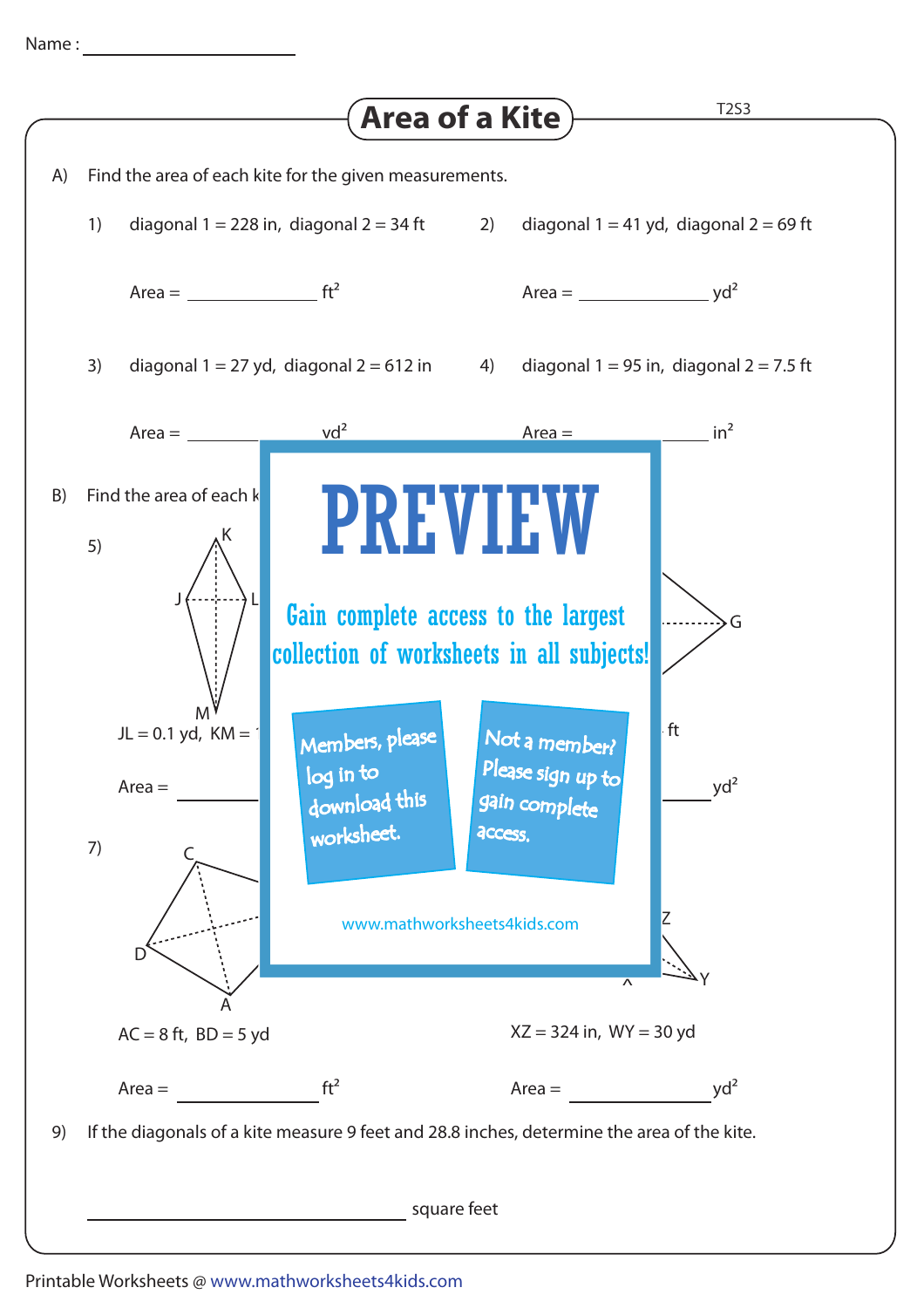